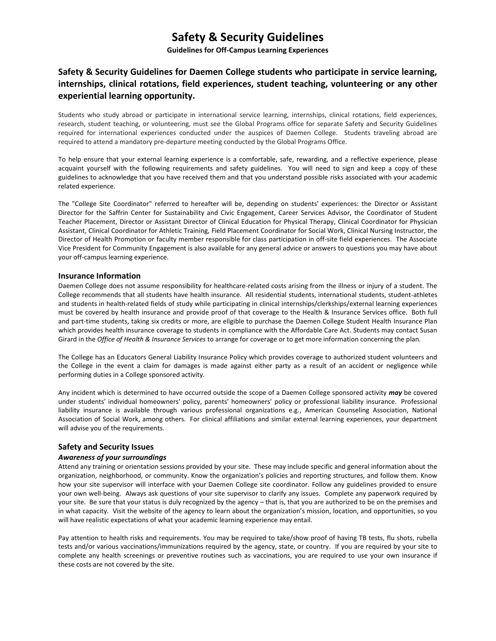# **Safety & Security Guidelines**

**Guidelines for Off-Campus Learning Experiences**

## **Safety & Security Guidelines for Daemen College students who participate in service learning, internships, clinical rotations, field experiences, student teaching, volunteering or any other experiential learning opportunity.**

Students who study abroad or participate in international service learning, internships, clinical rotations, field experiences, research, student teaching, or volunteering, must see the Global Programs office for separate Safety and Security Guidelines required for international experiences conducted under the auspices of Daemen College. Students traveling abroad are required to attend a mandatory pre-departure meeting conducted by the Global Programs Office.

To help ensure that your external learning experience is a comfortable, safe, rewarding, and a reflective experience, please acquaint yourself with the following requirements and safety guidelines. You will need to sign and keep a copy of these guidelines to acknowledge that you have received them and that you understand possible risks associated with your academic related experience.

The "College Site Coordinator" referred to hereafter will be, depending on students' experiences: the Director or Assistant Director for the Saffrin Center for Sustainability and Civic Engagement, Career Services Advisor, the Coordinator of Student Teacher Placement, Director or Assistant Director of Clinical Education for Physical Therapy, Clinical Coordinator for Physician Assistant, Clinical Coordinator for Athletic Training, Field Placement Coordinator for Social Work, Clinical Nursing Instructor, the Director of Health Promotion or faculty member responsible for class participation in off-site field experiences. The Associate Vice President for Community Engagement is also available for any general advice or answers to questions you may have about your off-campus learning experience.

#### **Insurance Information**

Daemen College does not assume responsibility for healthcare-related costs arising from the illness or injury of a student. The College recommends that all students have health insurance. All residential students, international students, student-athletes and students in health-related fields of study while participating in clinical internships/clerkships/external learning experiences must be covered by health insurance and provide proof of that coverage to the Health & Insurance Services office. Both full and part-time students, taking six credits or more, are eligible to purchase the Daemen College Student Health Insurance Plan which provides health insurance coverage to students in compliance with the Affordable Care Act. Students may contact Susan Girard in the *Office of Health & Insurance Services* to arrange for coverage or to get more information concerning the plan.

The College has an Educators General Liability Insurance Policy which provides coverage to authorized student volunteers and the College in the event a claim for damages is made against either party as a result of an accident or negligence while performing duties in a College sponsored activity.

Any incident which is determined to have occurred outside the scope of a Daemen College sponsored activity *may* be covered under students' individual homeowners' policy, parents' homeowners' policy or professional liability insurance. Professional liability insurance is available through various professional organizations e.g., American Counseling Association, National Association of Social Work, among others. For clinical affiliations and similar external learning experiences, your department will advise you of the requirements.

#### **Safety and Security Issues**

#### *Awareness of your surroundings*

Attend any training or orientation sessions provided by your site. These may include specific and general information about the organization, neighborhood, or community. Know the organization's policies and reporting structures, and follow them. Know how your site supervisor will interface with your Daemen College site coordinator. Follow any guidelines provided to ensure your own well-being. Always ask questions of your site supervisor to clarify any issues. Complete any paperwork required by your site. Be sure that your status is duly recognized by the agency – that is, that you are authorized to be on the premises and in what capacity. Visit the website of the agency to learn about the organization's mission, location, and opportunities, so you will have realistic expectations of what your academic learning experience may entail.

Pay attention to health risks and requirements. You may be required to take/show proof of having TB tests, flu shots, rubella tests and/or various vaccinations/immunizations required by the agency, state, or country. If you are required by your site to complete any health screenings or preventive routines such as vaccinations, you are required to use your own insurance if these costs are not covered by the site.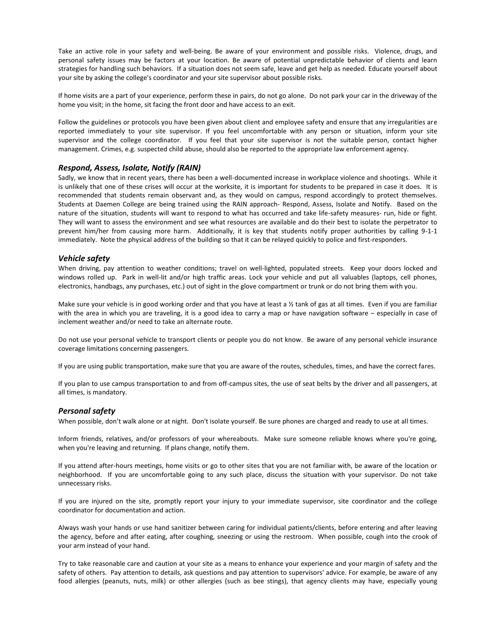Take an active role in your safety and well-being. Be aware of your environment and possible risks. Violence, drugs, and personal safety issues may be factors at your location. Be aware of potential unpredictable behavior of clients and learn strategies for handling such behaviors. If a situation does not seem safe, leave and get help as needed. Educate yourself about your site by asking the college's coordinator and your site supervisor about possible risks.

If home visits are a part of your experience, perform these in pairs, do not go alone. Do not park your car in the driveway of the home you visit; in the home, sit facing the front door and have access to an exit.

Follow the guidelines or protocols you have been given about client and employee safety and ensure that any irregularities are reported immediately to your site supervisor. If you feel uncomfortable with any person or situation, inform your site supervisor and the college coordinator. If you feel that your site supervisor is not the suitable person, contact higher management. Crimes, e.g. suspected child abuse, should also be reported to the appropriate law enforcement agency.

#### *Respond, Assess, Isolate, Notify (RAIN)*

Sadly, we know that in recent years, there has been a well-documented increase in workplace violence and shootings. While it is unlikely that one of these crises will occur at the worksite, it is important for students to be prepared in case it does. It is recommended that students remain observant and, as they would on campus, respond accordingly to protect themselves. Students at Daemen College are being trained using the RAIN approach- Respond, Assess, Isolate and Notify. Based on the nature of the situation, students will want to respond to what has occurred and take life-safety measures- run, hide or fight. They will want to assess the environment and see what resources are available and do their best to isolate the perpetrator to prevent him/her from causing more harm. Additionally, it is key that students notify proper authorities by calling 9-1-1 immediately. Note the physical address of the building so that it can be relayed quickly to police and first-responders.

#### *Vehicle safety*

When driving, pay attention to weather conditions; travel on well-lighted, populated streets. Keep your doors locked and windows rolled up. Park in well-lit and/or high traffic areas. Lock your vehicle and put all valuables (laptops, cell phones, electronics, handbags, any purchases, etc.) out of sight in the glove compartment or trunk or do not bring them with you.

Make sure your vehicle is in good working order and that you have at least a 1/2 tank of gas at all times. Even if you are familiar with the area in which you are traveling, it is a good idea to carry a map or have navigation software – especially in case of inclement weather and/or need to take an alternate route.

Do not use your personal vehicle to transport clients or people you do not know. Be aware of any personal vehicle insurance coverage limitations concerning passengers.

If you are using public transportation, make sure that you are aware of the routes, schedules, times, and have the correct fares.

If you plan to use campus transportation to and from off-campus sites, the use of seat belts by the driver and all passengers, at all times, is mandatory.

#### *Personal safety*

When possible, don't walk alone or at night. Don't isolate yourself. Be sure phones are charged and ready to use at all times.

Inform friends, relatives, and/or professors of your whereabouts. Make sure someone reliable knows where you're going, when you're leaving and returning. If plans change, notify them.

If you attend after-hours meetings, home visits or go to other sites that you are not familiar with, be aware of the location or neighborhood. If you are uncomfortable going to any such place, discuss the situation with your supervisor. Do not take unnecessary risks.

If you are injured on the site, promptly report your injury to your immediate supervisor, site coordinator and the college coordinator for documentation and action.

Always wash your hands or use hand sanitizer between caring for individual patients/clients, before entering and after leaving the agency, before and after eating, after coughing, sneezing or using the restroom. When possible, cough into the crook of your arm instead of your hand.

Try to take reasonable care and caution at your site as a means to enhance your experience and your margin of safety and the safety of others. Pay attention to details, ask questions and pay attention to supervisors' advice. For example, be aware of any food allergies (peanuts, nuts, milk) or other allergies (such as bee stings), that agency clients may have, especially young